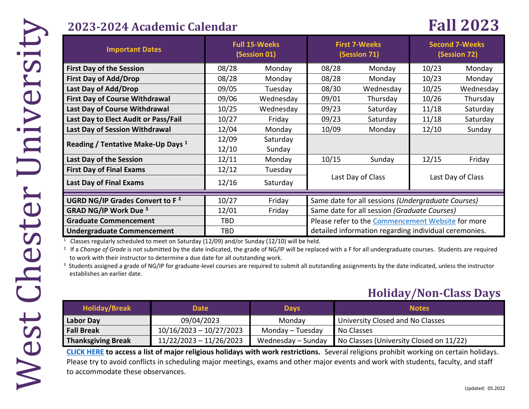## **2023-2024 Academic Calendar Fall 2023**

| <b>Important Dates</b>                                                                                                                                                                                                                                                                                                                                                                                                                                                                                                                                         | <b>Full 15-Weeks</b><br>(Session 01) |                    | <b>First 7-Weeks</b><br>(Session 71)                  |                               | <b>Second 7-Weeks</b><br>(Session 72) |           |  |  |  |
|----------------------------------------------------------------------------------------------------------------------------------------------------------------------------------------------------------------------------------------------------------------------------------------------------------------------------------------------------------------------------------------------------------------------------------------------------------------------------------------------------------------------------------------------------------------|--------------------------------------|--------------------|-------------------------------------------------------|-------------------------------|---------------------------------------|-----------|--|--|--|
| <b>First Day of the Session</b>                                                                                                                                                                                                                                                                                                                                                                                                                                                                                                                                | 08/28                                | Monday             | 08/28                                                 | Monday                        | 10/23                                 | Monday    |  |  |  |
| <b>First Day of Add/Drop</b>                                                                                                                                                                                                                                                                                                                                                                                                                                                                                                                                   | 08/28                                | Monday             | 08/28                                                 | Monday                        | 10/23                                 | Monday    |  |  |  |
| Last Day of Add/Drop                                                                                                                                                                                                                                                                                                                                                                                                                                                                                                                                           | 09/05                                | Tuesday            | 08/30                                                 | Wednesday                     | 10/25                                 | Wednesday |  |  |  |
| <b>First Day of Course Withdrawal</b>                                                                                                                                                                                                                                                                                                                                                                                                                                                                                                                          | 09/06                                | Wednesday          | 09/01                                                 | Thursday                      | 10/26                                 | Thursday  |  |  |  |
| Last Day of Course Withdrawal                                                                                                                                                                                                                                                                                                                                                                                                                                                                                                                                  | 10/25                                | Wednesday          | 09/23                                                 | Saturday                      | 11/18                                 | Saturday  |  |  |  |
| Last Day to Elect Audit or Pass/Fail                                                                                                                                                                                                                                                                                                                                                                                                                                                                                                                           | 10/27                                | Friday             | 09/23                                                 | Saturday                      | 11/18                                 | Saturday  |  |  |  |
| Last Day of Session Withdrawal                                                                                                                                                                                                                                                                                                                                                                                                                                                                                                                                 | 12/04                                | Monday             | 10/09                                                 | Monday                        | 12/10                                 | Sunday    |  |  |  |
| Reading / Tentative Make-Up Days <sup>1</sup>                                                                                                                                                                                                                                                                                                                                                                                                                                                                                                                  | 12/09<br>12/10                       | Saturday<br>Sunday |                                                       |                               |                                       |           |  |  |  |
| Last Day of the Session                                                                                                                                                                                                                                                                                                                                                                                                                                                                                                                                        | 12/11                                | Monday             | 10/15                                                 | Sunday                        | 12/15                                 | Friday    |  |  |  |
| <b>First Day of Final Exams</b>                                                                                                                                                                                                                                                                                                                                                                                                                                                                                                                                | 12/12                                | Tuesday            | Last Day of Class<br>Last Day of Class                |                               |                                       |           |  |  |  |
| Last Day of Final Exams                                                                                                                                                                                                                                                                                                                                                                                                                                                                                                                                        | 12/16                                | Saturday           |                                                       |                               |                                       |           |  |  |  |
| UGRD NG/IP Grades Convert to F <sup>2</sup><br>10/27<br>Same date for all sessions (Undergraduate Courses)<br>Friday                                                                                                                                                                                                                                                                                                                                                                                                                                           |                                      |                    |                                                       |                               |                                       |           |  |  |  |
| <b>GRAD NG/IP Work Due 3</b>                                                                                                                                                                                                                                                                                                                                                                                                                                                                                                                                   | 12/01                                | Friday             | Same date for all session (Graduate Courses)          |                               |                                       |           |  |  |  |
| <b>Graduate Commencement</b>                                                                                                                                                                                                                                                                                                                                                                                                                                                                                                                                   | <b>TBD</b>                           |                    | Please refer to the Commencement Website for more     |                               |                                       |           |  |  |  |
| <b>Undergraduate Commencement</b>                                                                                                                                                                                                                                                                                                                                                                                                                                                                                                                              | <b>TBD</b>                           |                    | detailed information regarding individual ceremonies. |                               |                                       |           |  |  |  |
| Classes regularly scheduled to meet on Saturday (12/09) and/or Sunday (12/10) will be held.<br>If a Change of Grade is not submitted by the date indicated, the grade of NG/IP will be replaced with a F for all undergraduate courses. Students are required<br>to work with their instructor to determine a due date for all outstanding work.<br><sup>3</sup> Students assigned a grade of NG/IP for graduate-level courses are required to submit all outstanding assignments by the date indicated, unless the instructor<br>establishes an earlier date. |                                      |                    |                                                       |                               |                                       |           |  |  |  |
|                                                                                                                                                                                                                                                                                                                                                                                                                                                                                                                                                                |                                      |                    |                                                       | <b>Holiday/Non-Class Days</b> |                                       |           |  |  |  |

### **Holiday/Non-Class Days**

| <b>Holiday/Break</b>      | <b>Date</b>               | <b>Days</b>        | <b>Notes</b>                            |
|---------------------------|---------------------------|--------------------|-----------------------------------------|
| <b>Labor Day</b>          | 09/04/2023                | Monday             | University Closed and No Classes        |
| <b>Fall Break</b>         | $10/16/2023 - 10/27/2023$ | Monday - Tuesday   | No Classes                              |
| <b>Thanksgiving Break</b> | $11/22/2023 - 11/26/2023$ | Wednesday – Sunday | No Classes (University Closed on 11/22) |

**[CLICK HERE](https://www.wcupa.edu/_admin/diversityEquityInclusion/observances.aspx) to access a list of major religious holidays with work restrictions.** Several religions prohibit working on certain holidays. Please try to avoid conflicts in scheduling major meetings, exams and other major events and work with students, faculty, and staff to accommodate these observances.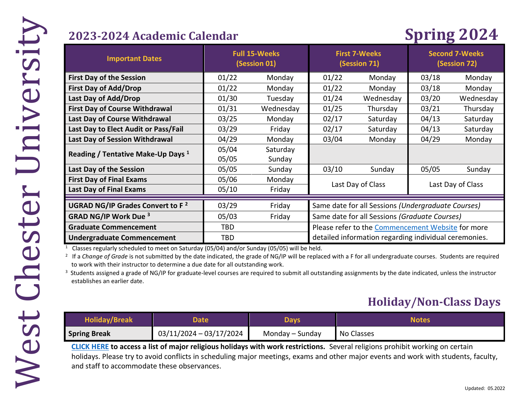# **2023-2024 Academic Calendar Spring 2024**

| <b>Important Dates</b>                        | <b>Full 15-Weeks</b><br>(Session 01) |           | <b>First 7-Weeks</b><br>(Session 71)                  |           | <b>Second 7-Weeks</b><br>(Session 72) |           |
|-----------------------------------------------|--------------------------------------|-----------|-------------------------------------------------------|-----------|---------------------------------------|-----------|
| <b>First Day of the Session</b>               | 01/22                                | Monday    | 01/22                                                 | Monday    | 03/18                                 | Monday    |
| <b>First Day of Add/Drop</b>                  | 01/22                                | Monday    | 01/22                                                 | Monday    | 03/18                                 | Monday    |
| Last Day of Add/Drop                          | 01/30                                | Tuesday   | 01/24                                                 | Wednesday | 03/20                                 | Wednesday |
| <b>First Day of Course Withdrawal</b>         | 01/31                                | Wednesday | 01/25                                                 | Thursday  | 03/21                                 | Thursday  |
| Last Day of Course Withdrawal                 | 03/25                                | Monday    | 02/17                                                 | Saturday  | 04/13                                 | Saturday  |
| Last Day to Elect Audit or Pass/Fail          | 03/29                                | Friday    | 02/17                                                 | Saturday  | 04/13                                 | Saturday  |
| Last Day of Session Withdrawal                | 04/29                                | Monday    | 03/04                                                 | Monday    | 04/29                                 | Monday    |
| Reading / Tentative Make-Up Days <sup>1</sup> | 05/04                                | Saturday  |                                                       |           |                                       |           |
|                                               | 05/05                                | Sunday    |                                                       |           |                                       |           |
| Last Day of the Session                       | 05/05                                | Sunday    | 03/10                                                 | Sunday    | 05/05                                 | Sunday    |
| <b>First Day of Final Exams</b>               | 05/06                                | Monday    | Last Day of Class<br>Last Day of Class                |           |                                       |           |
| <b>Last Day of Final Exams</b>                | 05/10                                | Friday    |                                                       |           |                                       |           |
| UGRAD NG/IP Grades Convert to F <sup>2</sup>  | 03/29                                | Friday    | Same date for all Sessions (Undergraduate Courses)    |           |                                       |           |
| <b>GRAD NG/IP Work Due 3</b>                  | 05/03                                | Friday    | Same date for all Sessions (Graduate Courses)         |           |                                       |           |
| <b>Graduate Commencement</b>                  | TBD                                  |           | Please refer to the Commencement Website for more     |           |                                       |           |
| <b>Undergraduate Commencement</b>             | TBD                                  |           | detailed information regarding individual ceremonies. |           |                                       |           |

1 Classes regularly scheduled to meet on Saturday (05/04) and/or Sunday (05/05) will be held.

<sup>2</sup> If a *Change of Grade* is not submitted by the date indicated, the grade of NG/IP will be replaced with a F for all undergraduate courses. Students are required to work with their instructor to determine a due date for all outstanding work.

<sup>3</sup> Students assigned a grade of NG/IP for graduate-level courses are required to submit all outstanding assignments by the date indicated, unless the instructor establishes an earlier date.

## **Holiday/Non-Class Days**

| <b>Holiday/Break</b> | Date                    | Davs            | Notes      |
|----------------------|-------------------------|-----------------|------------|
| <b>Spring Break</b>  | 03/11/2024 - 03/17/2024 | Monday – Sunday | No Classes |

**[CLICK HERE](https://www.wcupa.edu/_admin/diversityEquityInclusion/observances.aspx) to access a list of major religious holidays with work restrictions.** Several religions prohibit working on certain holidays. Please try to avoid conflicts in scheduling major meetings, exams and other major events and work with students, faculty, and staff to accommodate these observances.